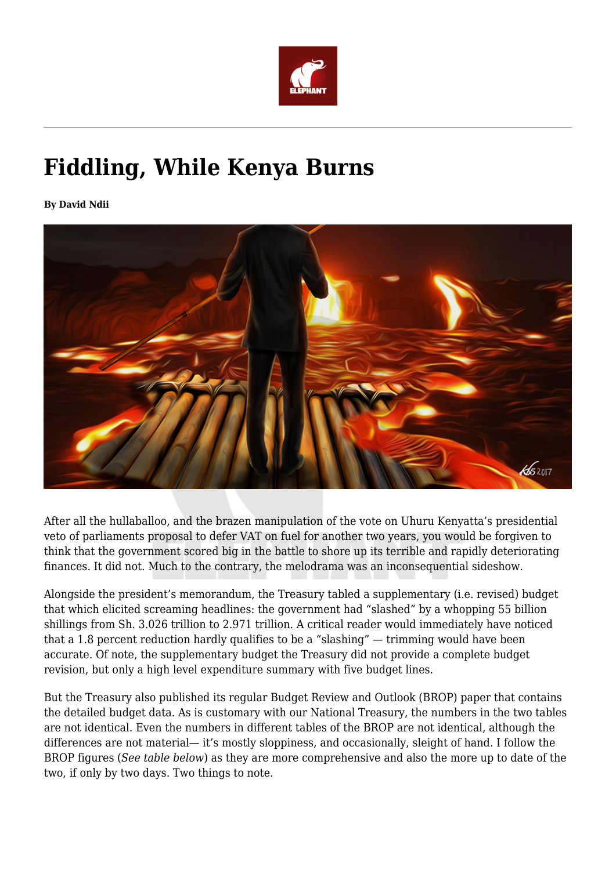

## **Fiddling, While Kenya Burns**

**By David Ndii**



After all the hullaballoo, and the brazen manipulation of the vote on Uhuru Kenyatta's presidential veto of parliaments proposal to defer VAT on fuel for another two years, you would be forgiven to think that the government scored big in the battle to shore up its terrible and rapidly deteriorating finances. It did not. Much to the contrary, the melodrama was an inconsequential sideshow.

Alongside the president's memorandum, the Treasury tabled a supplementary (i.e. revised) budget that which elicited screaming headlines: the government had "slashed" by a whopping 55 billion shillings from Sh. 3.026 trillion to 2.971 trillion. A critical reader would immediately have noticed that a 1.8 percent reduction hardly qualifies to be a "slashing" — trimming would have been accurate. Of note, the supplementary budget the Treasury did not provide a complete budget revision, but only a high level expenditure summary with five budget lines.

But the Treasury also published its regular Budget Review and Outlook (BROP) paper that contains the detailed budget data. As is customary with our National Treasury, the numbers in the two tables are not identical. Even the numbers in different tables of the BROP are not identical, although the differences are not material— it's mostly sloppiness, and occasionally, sleight of hand. I follow the BROP figures (*See table below*) as they are more comprehensive and also the more up to date of the two, if only by two days. Two things to note.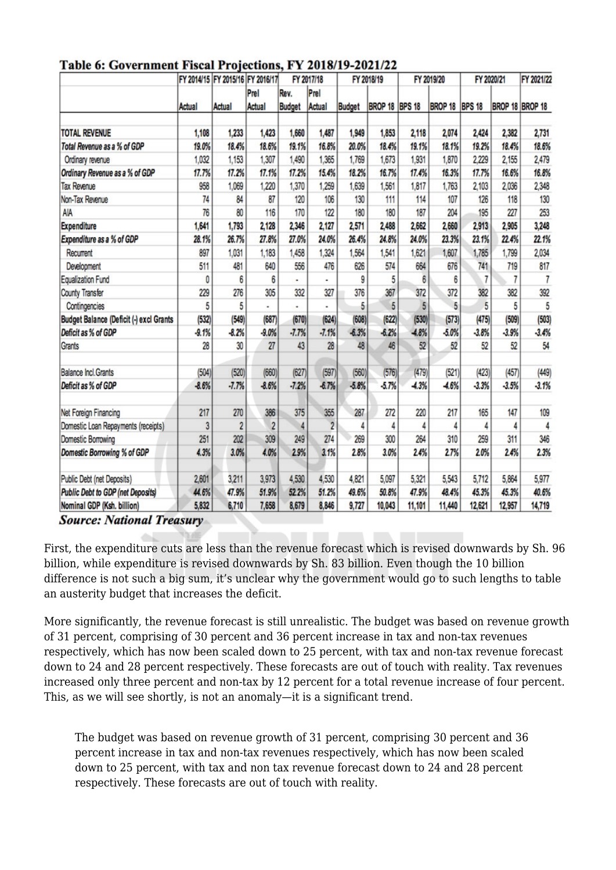|                                          | Actual  | FY 2014/15 FY 2015/16 FY 2016/17<br><b>Actual</b> |                       | FY 2017/18            |                 | FY 2018/19    |                       | FY 2019/20      |                       | FY 2020/21     |         | FY 2021/22      |
|------------------------------------------|---------|---------------------------------------------------|-----------------------|-----------------------|-----------------|---------------|-----------------------|-----------------|-----------------------|----------------|---------|-----------------|
|                                          |         |                                                   | Prel<br><b>Actual</b> | Rev.<br><b>Budget</b> | Prel<br>Actual  | <b>Budget</b> | <b>BROP 18 BPS 18</b> |                 | <b>BROP 18 BPS 18</b> |                |         | BROP 18 BROP 18 |
|                                          |         |                                                   |                       |                       |                 |               |                       |                 |                       |                |         |                 |
| <b>TOTAL REVENUE</b>                     | 1,108   | 1,233                                             | 1,423                 | 1,660                 | 1,487           | 1,949         | 1.853                 | 2,118           | 2,074                 | 2.424          | 2,382   | 2,731           |
| Total Revenue as a % of GDP              | 19.0%   | 18.4%                                             | 18.6%                 | 19.1%                 | 16.8%           | 20.0%         | 18.4%                 | 19.1%           | 18.1%                 | 19.2%          | 18.4%   | 18.6%           |
| Ordinary revenue                         | 1,032   | 1,153                                             | 1,307                 | 1,490                 | 1,365           | 1,769         | 1,673                 | 1,931           | 1,870                 | 2,229          | 2,155   | 2,479           |
| Ordinary Revenue as a % of GDP           | 17.7%   | 17.2%                                             | 17.1%                 | 17.2%                 | 15.4%           | 18.2%         | 16.7%                 | 17.4%           | 16.3%                 | 17.7%          | 16.6%   | 16.8%           |
| <b>Tax Revenue</b>                       | 958     | 1,069                                             | 1,220                 | 1,370                 | 1,259           | 1,639         | 1,561                 | 1,817           | 1,763                 | 2,103          | 2,036   | 2,348           |
| Non-Tax Revenue                          | 74      | 84                                                | 87                    | 120                   | 106             | 130           | 111                   | 114             | 107                   | 126            | 118     | 130             |
| AIA                                      | 76      | 80                                                | 116                   | 170                   | 122             | 180           | 180                   | 187             | 204                   | 195            | 227     | 253             |
| <b>Expenditure</b>                       | 1,641   | 1,793                                             | 2,128                 | 2,346                 | 2,127           | 2,571         | 2,488                 | 2,662           | 2,660                 | 2,913          | 2,905   | 3,248           |
| Expenditure as a % of GDP                | 28.1%   | 26.7%                                             | 27.8%                 | 27.0%                 | 24.0%           | 26.4%         | 24.8%                 | 24.0%           | 23.3%                 | 23.1%          | 22.4%   | 22.1%           |
| Recurrent                                | 897     | 1,031                                             | 1,183                 | 1,458                 | 1,324           | 1,564         | 1,541                 | 1,621           | 1,607                 | 1,785          | 1,799   | 2,034           |
| Development                              | 511     | 481                                               | 640                   | 556                   | 476             | 626           | 574                   | 664             | 676                   | 741            | 719     | 817             |
| <b>Equalization Fund</b>                 | 0       | 6                                                 | 6                     |                       |                 | 9             | 5                     | $6\overline{6}$ |                       | $\overline{7}$ | 7       | $\overline{7}$  |
| <b>County Transfer</b>                   | 229     | 276                                               | 305                   | 332                   | 327             | 376           | 367                   | 372             | 372                   | 382            | 382     | 392             |
| Contingencies                            | 5       | 5                                                 |                       | ٠                     |                 | 5             | $\overline{5}$        | 5               | 5                     | 5              | 5       | 5               |
| Budget Balance (Deficit (-) excl Grants  | (532)   | (549)                                             | (687)                 | (670)                 | (624)           | (608)         | (622)                 | (530)           | (573)                 | (475)          | (509)   | (503)           |
| Deficit as % of GDP                      | $-9.1%$ | $-8.2%$                                           | $-9.0%$               | $-7.7%$               | $-7.1%$         | $-6.3%$       | $-6.2%$               | $-4.8%$         | $-5.0%$               | $-3.8%$        | $-3.9%$ | $-3.4%$         |
| Grants                                   | 28      | 30                                                | 27                    | 43                    | $\overline{28}$ | 48            | 46                    | 52              | 52                    | 52             | 52      | 54              |
| <b>Balance Incl. Grants</b>              | (504)   | (520)                                             | (660)                 | (627)                 | (597)           | (560)         | (576)                 | (479)           | (521)                 | (423)          | (457)   | (449)           |
| Deficit as % of GDP                      | $-8.6%$ | $-7.7%$                                           | $-8.6%$               | $-7.2%$               | $-6.7%$         | $-5.8%$       | $-5.7%$               | $-4.3%$         | $-4.6%$               | $-3.3%$        | $-3.5%$ | $-3.1%$         |
| Net Foreign Financing                    | 217     | 270                                               | 386                   | 375                   | 355             | 287           | 272                   | 220             | 217                   | 165            | 147     | 109             |
| Domestic Loan Repayments (receipts)      | 3       | $\overline{c}$                                    | $\overline{c}$        | 4                     | $\overline{2}$  |               | 4                     | 4               |                       | 4              | 4       | 4               |
| <b>Domestic Borrowing</b>                | 251     | 202                                               | 309                   | 249                   | 274             | 269           | 300                   | 264             | 310                   | 259            | 311     | 346             |
| Domestic Borrowing % of GDP              | 4.3%    | 3.0%                                              | 4.0%                  | 2.9%                  | 3.1%            | 2.8%          | 3.0%                  | 2.4%            | 2.7%                  | 2.0%           | 2.4%    | 2.3%            |
| Public Debt (net Deposits)               | 2,601   | 3,211                                             | 3,973                 | 4,530                 | 4,530           | 4,821         | 5,097                 | 5,321           | 5,543                 | 5,712          | 5,864   | 5,977           |
| <b>Public Debt to GDP (net Deposits)</b> | 44.6%   | 47.9%                                             | 51.9%                 | 52.2%                 | 51.2%           | 49.6%         | 50.8%                 | 47.9%           | 48.4%                 | 45.3%          | 45.3%   | 40.6%           |
| Nominal GDP (Ksh. billion)               | 5,832   | 6,710                                             | 7,658                 | 8,679                 | 8,846           | 9,727         | 10,043                | 11,101          | 11,440                | 12,621         | 12,957  | 14,719          |

## Table 6: Government Fiscal Projections, FV 2018/19-2021/22

**Source: National Treasury** 

First, the expenditure cuts are less than the revenue forecast which is revised downwards by Sh. 96 billion, while expenditure is revised downwards by Sh. 83 billion. Even though the 10 billion difference is not such a big sum, it's unclear why the government would go to such lengths to table an austerity budget that increases the deficit.

More significantly, the revenue forecast is still unrealistic. The budget was based on revenue growth of 31 percent, comprising of 30 percent and 36 percent increase in tax and non-tax revenues respectively, which has now been scaled down to 25 percent, with tax and non-tax revenue forecast down to 24 and 28 percent respectively. These forecasts are out of touch with reality. Tax revenues increased only three percent and non-tax by 12 percent for a total revenue increase of four percent. This, as we will see shortly, is not an anomaly—it is a significant trend.

The budget was based on revenue growth of 31 percent, comprising 30 percent and 36 percent increase in tax and non-tax revenues respectively, which has now been scaled down to 25 percent, with tax and non tax revenue forecast down to 24 and 28 percent respectively. These forecasts are out of touch with reality.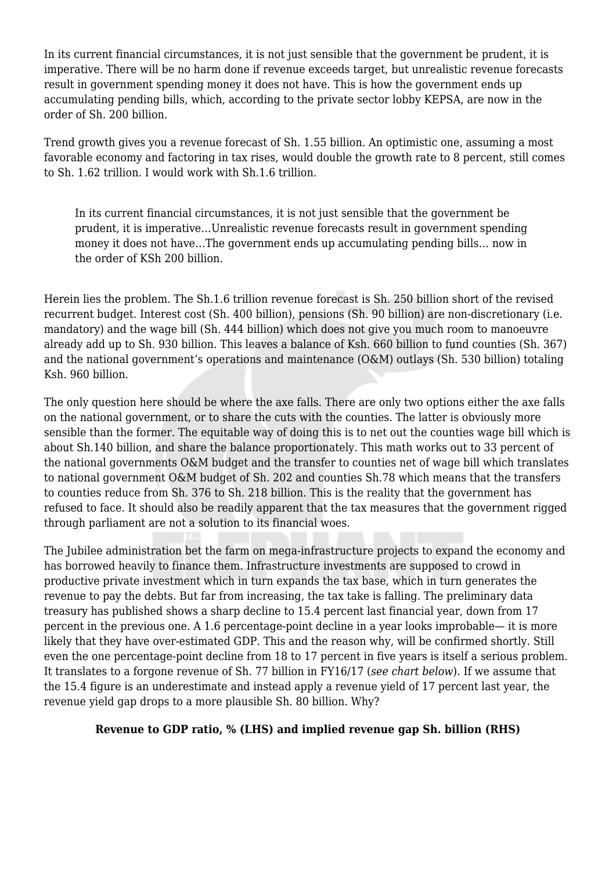In its current financial circumstances, it is not just sensible that the government be prudent, it is imperative. There will be no harm done if revenue exceeds target, but unrealistic revenue forecasts result in government spending money it does not have. This is how the government ends up accumulating pending bills, which, according to the private sector lobby KEPSA, are now in the order of Sh. 200 billion.

Trend growth gives you a revenue forecast of Sh. 1.55 billion. An optimistic one, assuming a most favorable economy and factoring in tax rises, would double the growth rate to 8 percent, still comes to Sh. 1.62 trillion. I would work with Sh.1.6 trillion.

In its current financial circumstances, it is not just sensible that the government be prudent, it is imperative…Unrealistic revenue forecasts result in government spending money it does not have…The government ends up accumulating pending bills… now in the order of KSh 200 billion.

Herein lies the problem. The Sh.1.6 trillion revenue forecast is Sh. 250 billion short of the revised recurrent budget. Interest cost (Sh. 400 billion), pensions (Sh. 90 billion) are non-discretionary (i.e. mandatory) and the wage bill (Sh. 444 billion) which does not give you much room to manoeuvre already add up to Sh. 930 billion. This leaves a balance of Ksh. 660 billion to fund counties (Sh. 367) and the national government's operations and maintenance (O&M) outlays (Sh. 530 billion) totaling Ksh. 960 billion.

The only question here should be where the axe falls. There are only two options either the axe falls on the national government, or to share the cuts with the counties. The latter is obviously more sensible than the former. The equitable way of doing this is to net out the counties wage bill which is about Sh.140 billion, and share the balance proportionately. This math works out to 33 percent of the national governments O&M budget and the transfer to counties net of wage bill which translates to national government O&M budget of Sh. 202 and counties Sh.78 which means that the transfers to counties reduce from Sh. 376 to Sh. 218 billion. This is the reality that the government has refused to face. It should also be readily apparent that the tax measures that the government rigged through parliament are not a solution to its financial woes.

The Jubilee administration bet the farm on mega-infrastructure projects to expand the economy and has borrowed heavily to finance them. Infrastructure investments are supposed to crowd in productive private investment which in turn expands the tax base, which in turn generates the revenue to pay the debts. But far from increasing, the tax take is falling. The preliminary data treasury has published shows a sharp decline to 15.4 percent last financial year, down from 17 percent in the previous one. A 1.6 percentage-point decline in a year looks improbable— it is more likely that they have over-estimated GDP. This and the reason why, will be confirmed shortly. Still even the one percentage-point decline from 18 to 17 percent in five years is itself a serious problem. It translates to a forgone revenue of Sh. 77 billion in FY16/17 (*see chart below*). If we assume that the 15.4 figure is an underestimate and instead apply a revenue yield of 17 percent last year, the revenue yield gap drops to a more plausible Sh. 80 billion. Why?

## **Revenue to GDP ratio, % (LHS) and implied revenue gap Sh. billion (RHS)**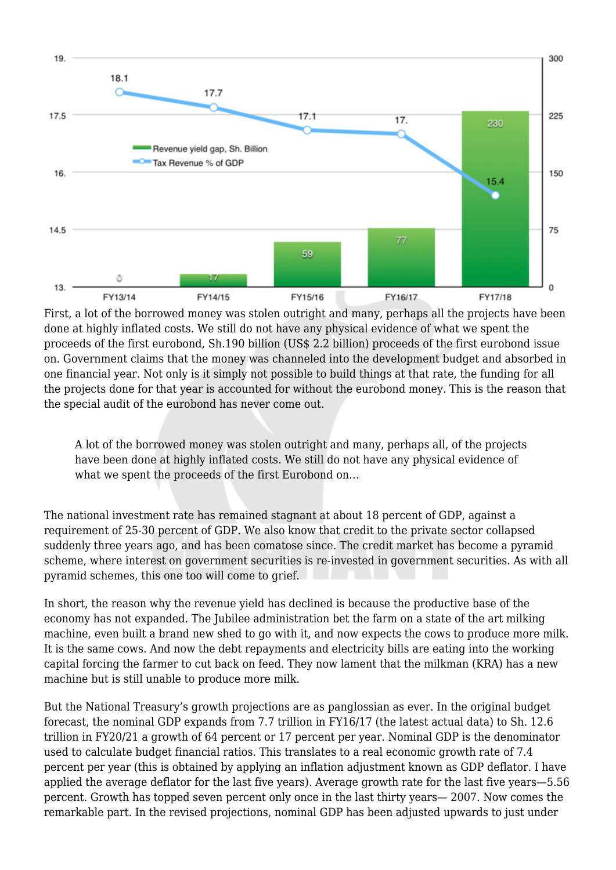

First, a lot of the borrowed money was stolen outright and many, perhaps all the projects have been done at highly inflated costs. We still do not have any physical evidence of what we spent the proceeds of the first eurobond, Sh.190 billion (US\$ 2.2 billion) proceeds of the first eurobond issue on. Government claims that the money was channeled into the development budget and absorbed in one financial year. Not only is it simply not possible to build things at that rate, the funding for all the projects done for that year is accounted for without the eurobond money. This is the reason that the special audit of the eurobond has never come out.

A lot of the borrowed money was stolen outright and many, perhaps all, of the projects have been done at highly inflated costs. We still do not have any physical evidence of what we spent the proceeds of the first Eurobond on…

The national investment rate has remained stagnant at about 18 percent of GDP, against a requirement of 25-30 percent of GDP. We also know that credit to the private sector collapsed suddenly three years ago, and has been comatose since. The credit market has become a pyramid scheme, where interest on government securities is re-invested in government securities. As with all pyramid schemes, this one too will come to grief.

In short, the reason why the revenue yield has declined is because the productive base of the economy has not expanded. The Jubilee administration bet the farm on a state of the art milking machine, even built a brand new shed to go with it, and now expects the cows to produce more milk. It is the same cows. And now the debt repayments and electricity bills are eating into the working capital forcing the farmer to cut back on feed. They now lament that the milkman (KRA) has a new machine but is still unable to produce more milk.

But the National Treasury's growth projections are as panglossian as ever. In the original budget forecast, the nominal GDP expands from 7.7 trillion in FY16/17 (the latest actual data) to Sh. 12.6 trillion in FY20/21 a growth of 64 percent or 17 percent per year. Nominal GDP is the denominator used to calculate budget financial ratios. This translates to a real economic growth rate of 7.4 percent per year (this is obtained by applying an inflation adjustment known as GDP deflator. I have applied the average deflator for the last five years). Average growth rate for the last five years—5.56 percent. Growth has topped seven percent only once in the last thirty years— 2007. Now comes the remarkable part. In the revised projections, nominal GDP has been adjusted upwards to just under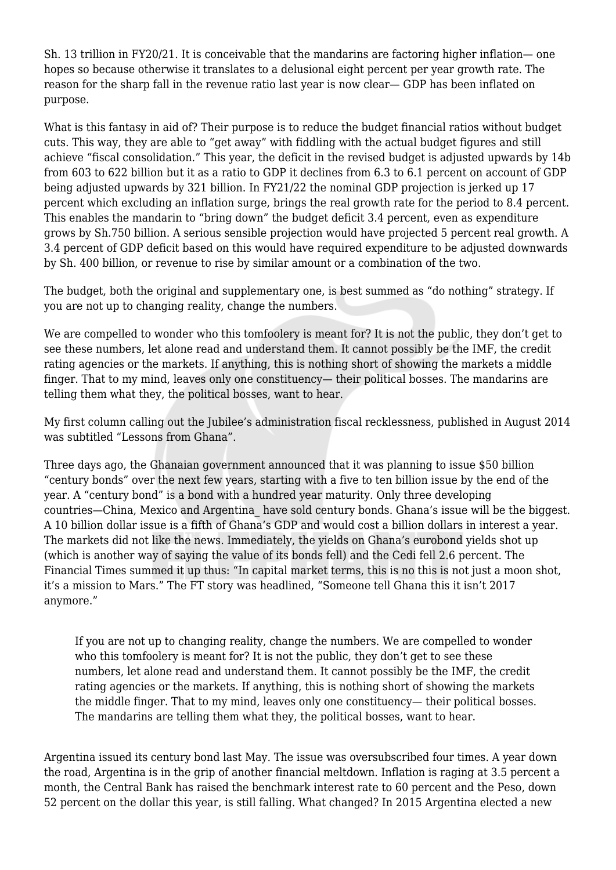Sh. 13 trillion in FY20/21. It is conceivable that the mandarins are factoring higher inflation— one hopes so because otherwise it translates to a delusional eight percent per year growth rate. The reason for the sharp fall in the revenue ratio last year is now clear— GDP has been inflated on purpose.

What is this fantasy in aid of? Their purpose is to reduce the budget financial ratios without budget cuts. This way, they are able to "get away" with fiddling with the actual budget figures and still achieve "fiscal consolidation." This year, the deficit in the revised budget is adjusted upwards by 14b from 603 to 622 billion but it as a ratio to GDP it declines from 6.3 to 6.1 percent on account of GDP being adjusted upwards by 321 billion. In FY21/22 the nominal GDP projection is jerked up 17 percent which excluding an inflation surge, brings the real growth rate for the period to 8.4 percent. This enables the mandarin to "bring down" the budget deficit 3.4 percent, even as expenditure grows by Sh.750 billion. A serious sensible projection would have projected 5 percent real growth. A 3.4 percent of GDP deficit based on this would have required expenditure to be adjusted downwards by Sh. 400 billion, or revenue to rise by similar amount or a combination of the two.

The budget, both the original and supplementary one, is best summed as "do nothing" strategy. If you are not up to changing reality, change the numbers.

We are compelled to wonder who this tomfoolery is meant for? It is not the public, they don't get to see these numbers, let alone read and understand them. It cannot possibly be the IMF, the credit rating agencies or the markets. If anything, this is nothing short of showing the markets a middle finger. That to my mind, leaves only one constituency— their political bosses. The mandarins are telling them what they, the political bosses, want to hear.

My first column calling out the Jubilee's administration fiscal recklessness, published in August 2014 was subtitled "Lessons from Ghana".

Three days ago, the Ghanaian government announced that it was planning to issue \$50 billion "century bonds" over the next few years, starting with a five to ten billion issue by the end of the year. A "century bond" is a bond with a hundred year maturity. Only three developing countries—China, Mexico and Argentina\_ have sold century bonds. Ghana's issue will be the biggest. A 10 billion dollar issue is a fifth of Ghana's GDP and would cost a billion dollars in interest a year. The markets did not like the news. Immediately, the yields on Ghana's eurobond yields shot up (which is another way of saying the value of its bonds fell) and the Cedi fell 2.6 percent. The Financial Times summed it up thus: "In capital market terms, this is no this is not just a moon shot, it's a mission to Mars." The FT story was headlined, "Someone tell Ghana this it isn't 2017 anymore."

If you are not up to changing reality, change the numbers. We are compelled to wonder who this tomfoolery is meant for? It is not the public, they don't get to see these numbers, let alone read and understand them. It cannot possibly be the IMF, the credit rating agencies or the markets. If anything, this is nothing short of showing the markets the middle finger. That to my mind, leaves only one constituency— their political bosses. The mandarins are telling them what they, the political bosses, want to hear.

Argentina issued its century bond last May. The issue was oversubscribed four times. A year down the road, Argentina is in the grip of another financial meltdown. Inflation is raging at 3.5 percent a month, the Central Bank has raised the benchmark interest rate to 60 percent and the Peso, down 52 percent on the dollar this year, is still falling. What changed? In 2015 Argentina elected a new